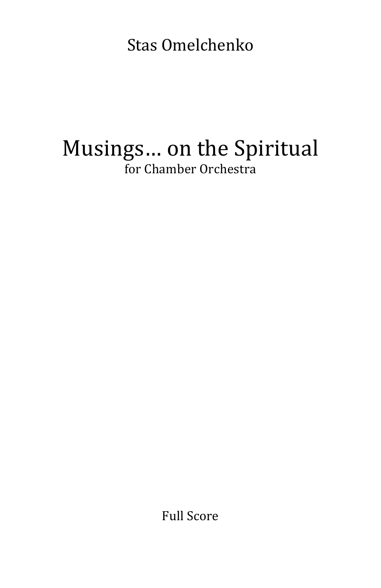**Stas Omelchenko** 

# Musings... on the Spiritual for Chamber Orchestra

# **Full Score**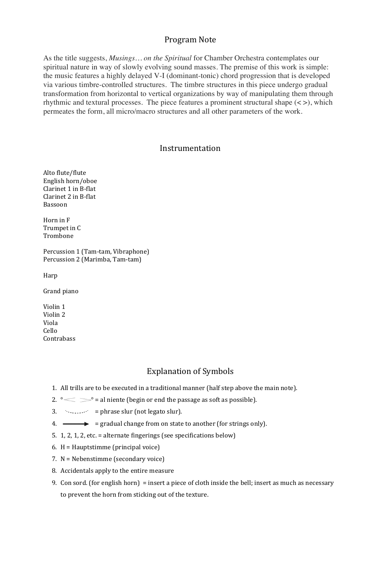## Program Note

As the title suggests, *Musings… on the Spiritual* for Chamber Orchestra contemplates our spiritual nature in way of slowly evolving sound masses. The premise of this work is simple: the music features a highly delayed V-I (dominant-tonic) chord progression that is developed via various timbre-controlled structures. The timbre structures in this piece undergo gradual transformation from horizontal to vertical organizations by way of manipulating them through rhythmic and textural processes. The piece features a prominent structural shape  $(\langle \rangle)$ , which permeates the form, all micro/macro structures and all other parameters of the work.

Alto flute/flute English horn/oboe Clarinet 1 in B-flat Clarinet 2 in B-flat Bassoon

Horn in F Trumpet in C Trombone

Percussion 1 (Tam-tam, Vibraphone) Percussion 2 (Marimba, Tam-tam)

Violin 1 Violin 2 Viola Cello Contrabass

### **Explanation of Symbols**

- 1. All trills are to be executed in a traditional manner (half step above the main note).
- 2.  $\degree \ll \degree$  = al niente (begin or end the passage as soft as possible).
- 3.  $\frac{1}{2}$  = phrase slur (not legato slur).
- 4.  $\longrightarrow$  = gradual change from on state to another (for strings only).
- 5. 1, 2, 1, 2, etc. = alternate fingerings (see specifications below)
- 6.  $H =$  Hauptstimme (principal voice)
- 7.  $N =$  Nebenstimme (secondary voice)
- 8. Accidentals apply to the entire measure
- 9. Con sord. (for english horn) = insert a piece of cloth inside the bell; insert as much as necessary to prevent the horn from sticking out of the texture.

#### Instrumentation

Harp

Grand piano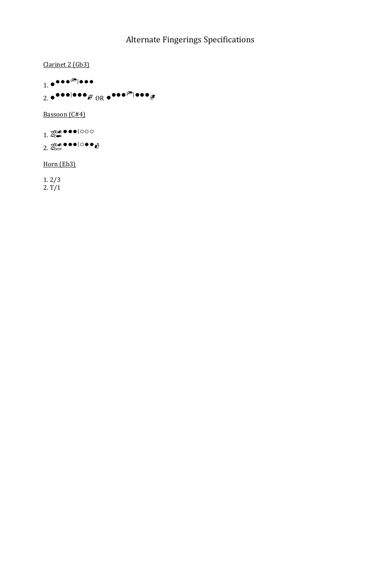## Alternate Fingerings Specifications

Clarinet 2 (Gb3)  $1. \bullet$ <sup>\*\*\*\*</sup>\*\*\*  $2. \bullet$ <sup>\*\*\*|\*\*\*</sup> $\#$  OR \*\*\*\*<sup>0</sup>|\*\*\*# Bassoon (C#4)  $1.22$ 2.  $\mathbb{R}^{\bullet\bullet\bullet\bullet|\circ\bullet\bullet}$ Horn (Eb3)  $1.2/3$  $2.\overline{T}/1$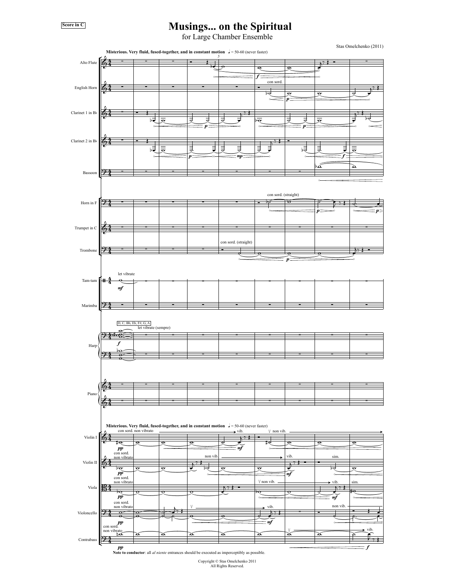#### **Score in C Musings... on the Spiritual**

for Large Chamber Ensemble

°  $\sqrt{24}$ ° ¢ ∱<del>⊪ ∤</del>  $24$  $\left\langle \right\vert$ {|<br>|} ° &  $\boxed{24}$ Alto Flute English Horn Clarinet 1 in Bb Clarinet 2 in Bb Bassoon Horn in F Trumpet in C Trombone Tam-tam Marimba Harp Pia Violin I Violin II Viola Violoncello Contrabass  $\delta$  f or  $f$  or  $f$  or  $f$  or  $f$  or  $f$  or  $f$  or  $f$  or  $f$  or  $f$  or  $f$  or  $f$  or  $f$  or  $f$  or  $f$  or  $f$  or  $f$  or  $f$  or  $f$  or  $f$  or  $f$  or  $f$  or  $f$  or  $f$  or  $f$  or  $f$  or  $f$  or  $f$  or  $f$  or  $f$  or  $f$  or **Misterious. Very fluid, fused-together, and in constant motion**  $\epsilon$  **= 50-60 (never faster)** *5*  $\geq p \geq$  p or  $p \geq$  or  $p \geq$  .  $\begin{picture}(180,10) \put(0,0){\line(1,0){10}} \put(10,0){\line(1,0){10}} \put(10,0){\line(1,0){10}} \put(10,0){\line(1,0){10}} \put(10,0){\line(1,0){10}} \put(10,0){\line(1,0){10}} \put(10,0){\line(1,0){10}} \put(10,0){\line(1,0){10}} \put(10,0){\line(1,0){10}} \put(10,0){\line(1,0){10}} \put(10,0){\line(1,0){10}} \put(10,0){\line($  $p = p$  or  $p = p$  or  $p = p$ o  $\bullet$  p or p or p or p or p  $\bullet$  $\overbrace{\hspace{1.5cm}}^{p-1}$ mf f pp mf o **Misterious. Very fluid, fused-together, and in constant motion**  $\int$  **= 50-60 (never faster)**<br>
on sord, non vibrato pp of the contract of the contract of the contract of the contract of the contract of the contract of the contract of the contract of the contract of the contract of the contract of the contract of the contract of the con pp  $\rho$  and  $\rho$  and  $\rho$  and  $\rho$  and  $\rho$  and  $\rho$  and  $\rho$  and  $\rho$  and  $\rho$  and  $\rho$  and  $\rho$  and  $\rho$  and  $\rho$  and  $\rho$  and  $\rho$  and  $\rho$  and  $\rho$  and  $\rho$  and  $\rho$  and  $\rho$  and  $\rho$  and  $\rho$  and  $\rho$  and  $\rho$  and  $\r$ pp mf o **PP**<br>Note to conductor: all *al niente* entrances should be executed as imperceptibly as possible. 4 4 4 4 4 4 <u>&≴ =</u> 4 4 4 4 4 4 4 4 4 4 4 4 4 4 4 4 4 4 4 4 B 4 4 ? & ∑ ∑ ∑ ∑ Stas Omelchenko (2011)  $\frac{2}{3}$   $\frac{1}{2}$   $\frac{\text{const}}{2}$  $\bm{\phi}$ ? ∑ ∑ ∑ ∑ ∑ ∑ ∑ ? ∑ ∑ ∑ ∑ ∑ con sord. (straight) & ∑ ∑ ∑ ∑ ∑ ∑ ∑ ∑ ∑ ? <sup>∑</sup> <sup>∑</sup> <sup>∑</sup> <sup>∑</sup> con sord. (straight) let vibrate<br> $\begin{array}{c} \n\text{let vibrate} \\
\hline\n\text{4}\n\end{array}$ ∑ ∑ ∑ ∑ ∑ ∑ ∑ ∑ ? ∑ ∑ ∑ ∑ ∑ ∑ ∑ ∑ ∑ <u>.</u> D, C, Bb, Eb, F#, G, A<br>let vibrate (sempre) ∑ ∑ ∑ ∑ ∑ ∑ ∑ ∑ ? ∑ ∑ ∑ ∑ ∑ ∑ ∑ ∑ & ∑ ∑ ∑ ∑ ∑ ∑ ∑ ∑ ∑ & ∑ ∑ ∑ ∑ ∑ ∑ ∑ ∑ ∑  $\longrightarrow$  vib.  $\qquad \qquad \longrightarrow$  vib.  $\qquad \qquad \lor$  non vib. &  $\overrightarrow{pp}$  con sord. non vibrato non vib. vib. sim.  $\overrightarrow{pp}$  con sord.  $\vee$  non vibrato  $\longrightarrow$  vib. sim.  $\overrightarrow{PP}$  con sord. non vibrato  $\qquad \qquad \longrightarrow \qquad \qquad \vee$   $\qquad \qquad \longrightarrow \qquad \qquad \longrightarrow$  vib.  $\begin{array}{c|c|c}\n\hline\n\end{array}$  non vib. con sord. non vibrato  $\vee$  vib.  $\mathcal{P}$  w  $\mathcal{P}$  w  $\mathcal{P}$  w  $\mathcal{P}$  w  $\mathcal{P}$  $\gamma$  : ि संस्कृति ।<br>विदेशस्य प्रदेश  $\overline{\mathcal{F}^{\prime}}$  $-$  : 过一支 支 支 支  $\mathcal{F}_\mathcal{A}$ <del>be</del> すええ す  $\Rightarrow$ ग्र्च  $-$  : ■ むしゃ しょうしょう えいしゃ はいしょう はいしょう  $\frac{1}{2}$   $\frac{1}{2}$  = はし其も むしえ えいきょう えいしゅう ほんしゅう ほうしゅう ほうしゅう ほうしゃ ほんしゅう ほうしゅつ  $\delta$  $\bullet$   $\bullet$   $\bullet$   $\bullet$   $\bullet$  $\frac{1}{2}$   $\frac{1}{2}$   $\frac{1}{2}$   $\frac{1}{2}$   $\frac{1}{2}$  $\frac{1}{2}$   $\frac{1}{2}$   $\frac{1}{2}$   $\frac{1}{2}$  $\sim$  $\bullet$ ።<br>የ w  $\frac{6}{9}$  $\frac{\Theta}{\Theta}$ b **#e** e e e e  $y^i$   $\frac{1}{z}$   $\frac{1}{z}$   $\frac{1}{z}$   $\frac{1}{z}$   $\frac{1}{z}$  $\overline{p}$   $\overline{p}$   $\overline{p}$   $\overline{p}$  $\overline{h^{\dagger}}$  $\frac{1}{\sqrt{2}}$  w  $\frac{1}{\sqrt{2}}$  $\begin{array}{c|c|c}\n\hline\n\end{array}$   $\begin{array}{c|c|c}\n\hline\n\end{array}$   $\begin{array}{c|c|c}\n\hline\n\end{array}$   $\begin{array}{c|c|c}\n\hline\n\end{array}$   $\begin{array}{c|c}\n\hline\n\end{array}$ by  $\overline{\mathbb{R}}$  ,  $\overline{\mathbb{R}}$  ,  $\overline{\mathbb{R}}$  $\frac{1}{\sqrt{2}}$  e  $\frac{1}{\sqrt{2}}$  e  $\frac{1}{\sqrt{2}}$  e  $\frac{1}{\sqrt{2}}$  e  $\frac{1}{\sqrt{2}}$  e  $\frac{1}{\sqrt{2}}$  e  $\frac{1}{\sqrt{2}}$  e  $\frac{1}{\sqrt{2}}$  $\frac{1}{2}$   $\frac{1}{2}$  $\frac{9}{9}$  $\sum_{\alpha=0}^{\infty}$  $\sum_{\delta}$ **† †** œ j  $\begin{array}{c} \begin{array}{c} \text{w} \\ \text{y} \\ \text{y} \end{array} \\ \begin{array}{c} \text{y} \\ \text{y} \end{array} \end{array}$  $\begin{array}{c} \n\ddots \\
\end{array}$   $\begin{array}{c} \n\ddots \\
\end{array}$   $\begin{array}{c} \n\ddots \\
\end{array}$  $\longrightarrow$   $\rightarrow$ œ  $m_{\tilde{t}}$  is a whole who will be written when  $\tilde{t}$  $\bar{\mathbb{P}}$   $\bar{\mathbb{P}}$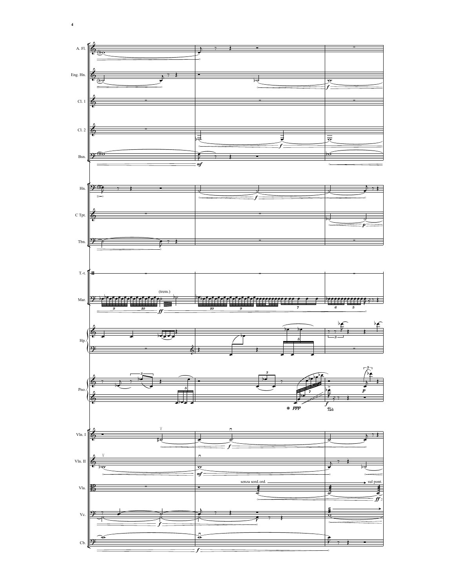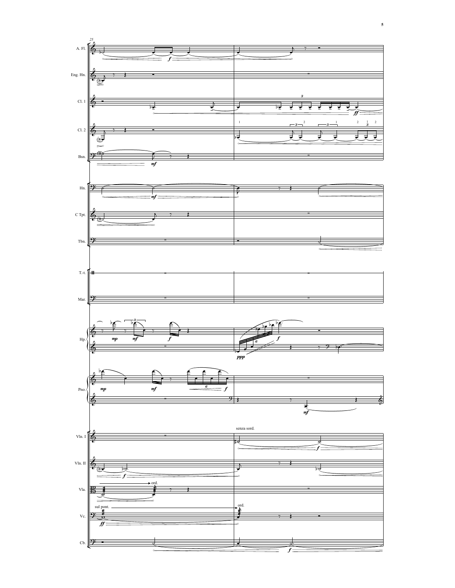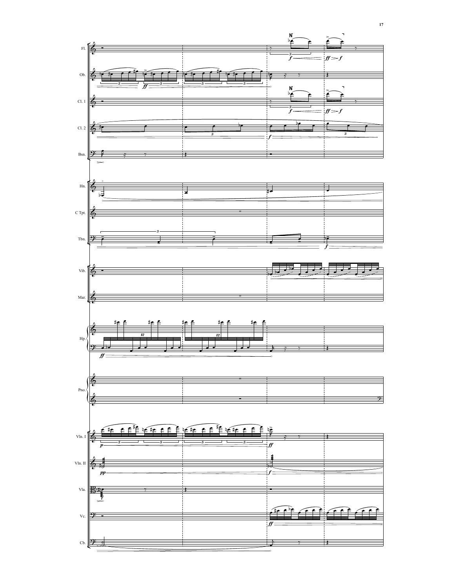

 $\frac{17}{17}$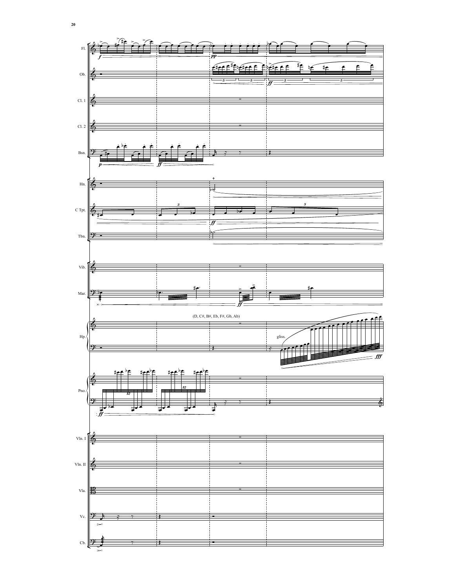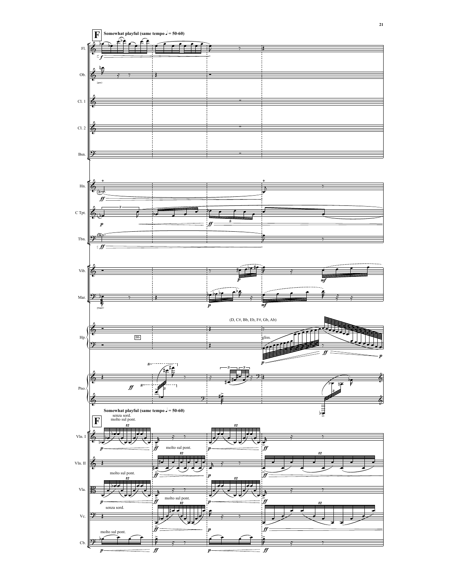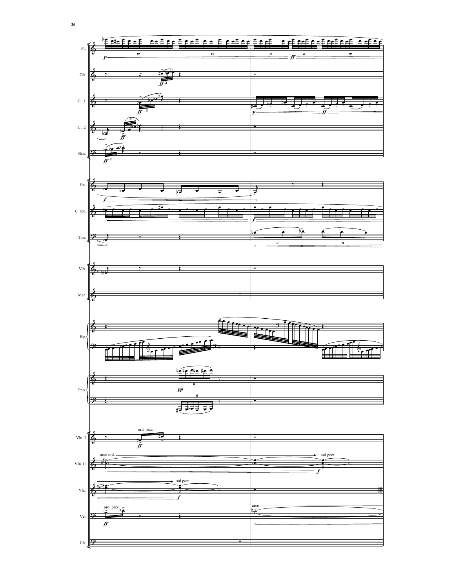